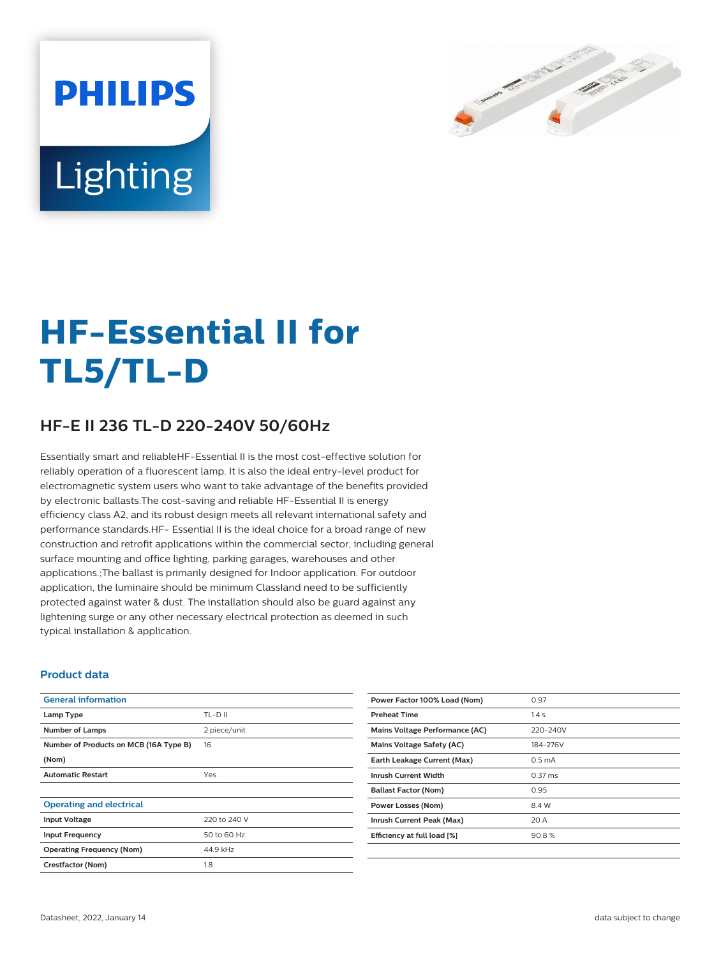

# Lighting

**PHILIPS** 

# **HF-Essential II for TL5/TL-D**

## **HF-E II 236 TL-D 220-240V 50/60Hz**

Essentially smart and reliableHF-Essential II is the most cost-effective solution for reliably operation of a fluorescent lamp. It is also the ideal entry-level product for electromagnetic system users who want to take advantage of the benefits provided by electronic ballasts.The cost-saving and reliable HF-Essential II is energy efficiency class A2, and its robust design meets all relevant international safety and performance standards.HF- Essential II is the ideal choice for a broad range of new construction and retrofit applications within the commercial sector, including general surface mounting and office lighting, parking garages, warehouses and other applications.;The ballast is primarily designed for Indoor application. For outdoor application, the luminaire should be minimum Classland need to be sufficiently protected against water & dust. The installation should also be guard against any lightening surge or any other necessary electrical protection as deemed in such typical installation & application.

#### **Product data**

| <b>General information</b>             |              | Power Factor 100% Load (Nom)   | 0.97               |
|----------------------------------------|--------------|--------------------------------|--------------------|
| Lamp Type                              | TL-D II      | <b>Preheat Time</b>            | 1.4s               |
| <b>Number of Lamps</b>                 | 2 piece/unit | Mains Voltage Performance (AC) | 220-240V           |
| Number of Products on MCB (16A Type B) | 16           | Mains Voltage Safety (AC)      | 184-276V           |
| (Nom)                                  |              | Earth Leakage Current (Max)    | 0.5 <sub>m</sub> A |
| <b>Automatic Restart</b>               | Yes          | <b>Inrush Current Width</b>    | $0.37$ ms          |
|                                        |              | <b>Ballast Factor (Nom)</b>    | 0.95               |
| <b>Operating and electrical</b>        |              | <b>Power Losses (Nom)</b>      | 8.4 W              |
| <b>Input Voltage</b>                   | 220 to 240 V | Inrush Current Peak (Max)      | 20 A               |
| <b>Input Frequency</b>                 | 50 to 60 Hz  | Efficiency at full load [%]    | 90.8%              |
| <b>Operating Frequency (Nom)</b>       | 44.9 kHz     |                                |                    |
| Crestfactor (Nom)                      | 1.8          |                                |                    |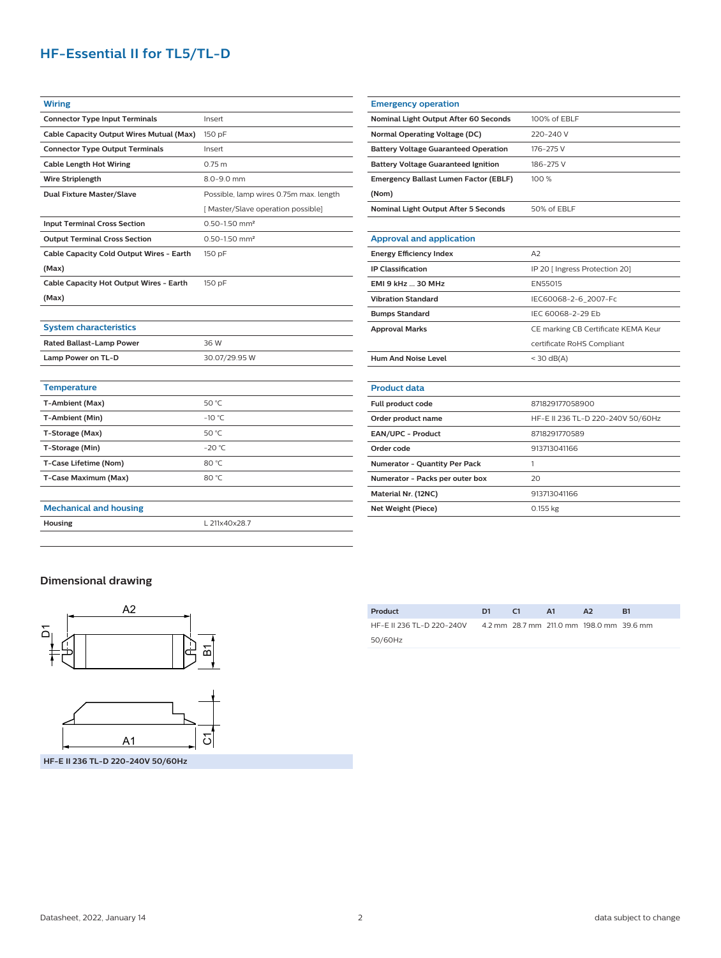### **HF-Essential II for TL5/TL-D**

| <b>Wiring</b>                            |                                        |  |  |
|------------------------------------------|----------------------------------------|--|--|
| <b>Connector Type Input Terminals</b>    | Insert                                 |  |  |
| Cable Capacity Output Wires Mutual (Max) | 150 pF                                 |  |  |
| <b>Connector Type Output Terminals</b>   | Insert                                 |  |  |
| <b>Cable Length Hot Wiring</b>           | 0.75 m                                 |  |  |
| <b>Wire Striplength</b>                  | 8.0-9.0 mm                             |  |  |
| <b>Dual Fixture Master/Slave</b>         | Possible, lamp wires 0.75m max. length |  |  |
|                                          | [Master/Slave operation possible]      |  |  |
| <b>Input Terminal Cross Section</b>      | $0.50 - 1.50$ mm <sup>2</sup>          |  |  |
| <b>Output Terminal Cross Section</b>     | $0.50 - 1.50$ mm <sup>2</sup>          |  |  |
| Cable Capacity Cold Output Wires - Earth | 150 pF                                 |  |  |
| (Max)                                    |                                        |  |  |
| Cable Capacity Hot Output Wires - Earth  | 150 pF                                 |  |  |
| (Max)                                    |                                        |  |  |
|                                          |                                        |  |  |
| <b>System characteristics</b>            |                                        |  |  |
| <b>Rated Ballast-Lamp Power</b>          | 36 W                                   |  |  |
| Lamp Power on TL-D                       | 30.07/29.95 W                          |  |  |
|                                          |                                        |  |  |
| <b>Temperature</b>                       |                                        |  |  |
| T-Ambient (Max)                          | 50 °C                                  |  |  |
| T-Ambient (Min)                          | $-10 °C$                               |  |  |
| T-Storage (Max)                          | 50 °C                                  |  |  |

| <b>Emergency operation</b>                   |                                     |  |  |  |
|----------------------------------------------|-------------------------------------|--|--|--|
| Nominal Light Output After 60 Seconds        | 100% of EBLF                        |  |  |  |
| <b>Normal Operating Voltage (DC)</b>         | 220-240 V                           |  |  |  |
| <b>Battery Voltage Guaranteed Operation</b>  | 176-275 V                           |  |  |  |
| <b>Battery Voltage Guaranteed Ignition</b>   | 186-275 V                           |  |  |  |
| <b>Emergency Ballast Lumen Factor (EBLF)</b> | 100 %                               |  |  |  |
| (Nom)                                        |                                     |  |  |  |
| Nominal Light Output After 5 Seconds         | 50% of EBLF                         |  |  |  |
|                                              |                                     |  |  |  |
| <b>Approval and application</b>              |                                     |  |  |  |
| <b>Energy Efficiency Index</b>               | A2                                  |  |  |  |
| <b>IP Classification</b>                     | IP 20 [ Ingress Protection 20]      |  |  |  |
| <b>EMI 9 kHz  30 MHz</b>                     | EN55015                             |  |  |  |
| <b>Vibration Standard</b>                    | IEC60068-2-6 2007-Fc                |  |  |  |
| <b>Bumps Standard</b>                        | IEC 60068-2-29 Fb                   |  |  |  |
| <b>Approval Marks</b>                        | CE marking CB Certificate KEMA Keur |  |  |  |
|                                              | certificate RoHS Compliant          |  |  |  |
| Hum And Noise Level                          | $<$ 30 dB(A)                        |  |  |  |
|                                              |                                     |  |  |  |
| <b>Product data</b>                          |                                     |  |  |  |
| Full product code                            | 871829177058900                     |  |  |  |
| Order product name                           | HF-E II 236 TL-D 220-240V 50/60Hz   |  |  |  |
| <b>EAN/UPC - Product</b>                     | 8718291770589                       |  |  |  |
| Order code                                   | 913713041166                        |  |  |  |
| <b>Numerator - Quantity Per Pack</b>         | 1                                   |  |  |  |
| Numerator - Packs per outer box              | 20                                  |  |  |  |
| Material Nr. (12NC)                          | 913713041166                        |  |  |  |
| Net Weight (Piece)                           | $0.155$ kg                          |  |  |  |

#### **Dimensional drawing**

**Mechanical and housing**



**T-Storage (Min)** -20 °C **T-Case Lifetime (Nom)** 80 °C **T-Case Maximum (Max)** 80 °C

**Housing** L 211x40x28.7

| Product                   | D1. | C1 | <b>A1</b> | A <sub>2</sub>                           | B1 |
|---------------------------|-----|----|-----------|------------------------------------------|----|
| HF-E II 236 TL-D 220-240V |     |    |           | 4.2 mm 28.7 mm 211.0 mm 198.0 mm 39.6 mm |    |
| 50/60Hz                   |     |    |           |                                          |    |